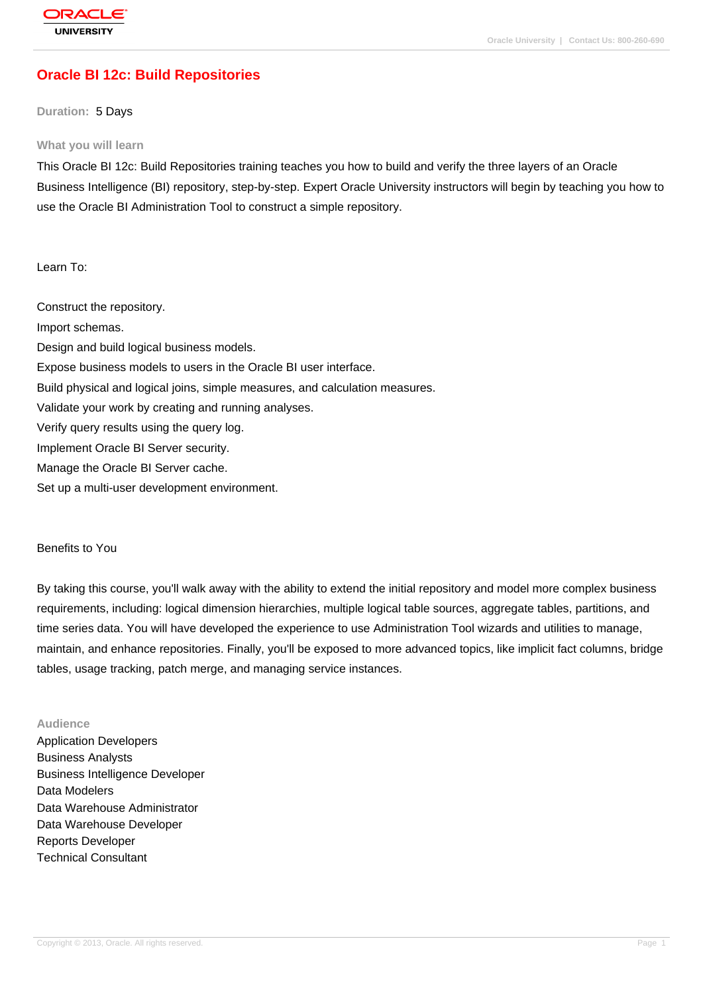# **[Oracle BI 12c:](http://education.oracle.com/pls/web_prod-plq-dad/db_pages.getpage?page_id=3) Build Repositories**

#### **Duration:** 5 Days

#### **What you will learn**

This Oracle BI 12c: Build Repositories training teaches you how to build and verify the three layers of an Oracle Business Intelligence (BI) repository, step-by-step. Expert Oracle University instructors will begin by teaching you how to use the Oracle BI Administration Tool to construct a simple repository.

Learn To:

Construct the repository. Import schemas. Design and build logical business models. Expose business models to users in the Oracle BI user interface. Build physical and logical joins, simple measures, and calculation measures. Validate your work by creating and running analyses. Verify query results using the query log. Implement Oracle BI Server security. Manage the Oracle BI Server cache. Set up a multi-user development environment.

#### Benefits to You

By taking this course, you'll walk away with the ability to extend the initial repository and model more complex business requirements, including: logical dimension hierarchies, multiple logical table sources, aggregate tables, partitions, and time series data. You will have developed the experience to use Administration Tool wizards and utilities to manage, maintain, and enhance repositories. Finally, you'll be exposed to more advanced topics, like implicit fact columns, bridge tables, usage tracking, patch merge, and managing service instances.

#### **Audience**

Application Developers Business Analysts Business Intelligence Developer Data Modelers Data Warehouse Administrator Data Warehouse Developer Reports Developer Technical Consultant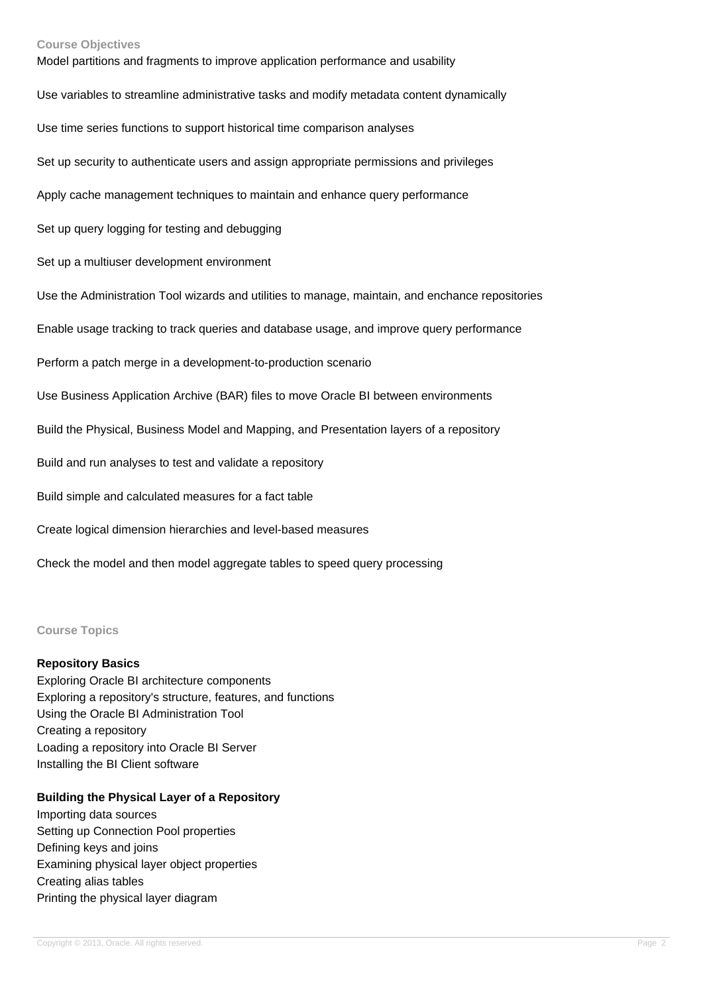#### **Course Objectives**

Model partitions and fragments to improve application performance and usability Use variables to streamline administrative tasks and modify metadata content dynamically Use time series functions to support historical time comparison analyses Set up security to authenticate users and assign appropriate permissions and privileges Apply cache management techniques to maintain and enhance query performance Set up query logging for testing and debugging Set up a multiuser development environment Use the Administration Tool wizards and utilities to manage, maintain, and enchance repositories Enable usage tracking to track queries and database usage, and improve query performance Perform a patch merge in a development-to-production scenario Use Business Application Archive (BAR) files to move Oracle BI between environments Build the Physical, Business Model and Mapping, and Presentation layers of a repository Build and run analyses to test and validate a repository Build simple and calculated measures for a fact table Create logical dimension hierarchies and level-based measures Check the model and then model aggregate tables to speed query processing

**Course Topics**

### **Repository Basics**

Exploring Oracle BI architecture components Exploring a repository's structure, features, and functions Using the Oracle BI Administration Tool Creating a repository Loading a repository into Oracle BI Server Installing the BI Client software

### **Building the Physical Layer of a Repository**

Importing data sources Setting up Connection Pool properties Defining keys and joins Examining physical layer object properties Creating alias tables Printing the physical layer diagram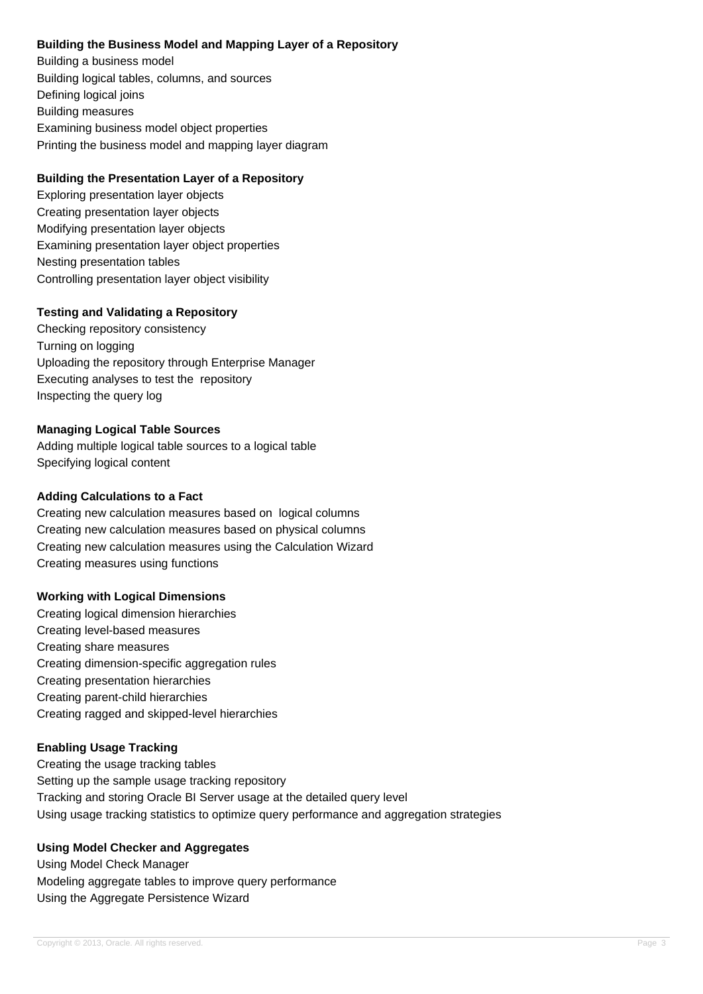## **Building the Business Model and Mapping Layer of a Repository**

Building a business model Building logical tables, columns, and sources Defining logical joins Building measures Examining business model object properties Printing the business model and mapping layer diagram

## **Building the Presentation Layer of a Repository**

Exploring presentation layer objects Creating presentation layer objects Modifying presentation layer objects Examining presentation layer object properties Nesting presentation tables Controlling presentation layer object visibility

## **Testing and Validating a Repository**

Checking repository consistency Turning on logging Uploading the repository through Enterprise Manager Executing analyses to test the repository Inspecting the query log

## **Managing Logical Table Sources**

Adding multiple logical table sources to a logical table Specifying logical content

### **Adding Calculations to a Fact**

Creating new calculation measures based on logical columns Creating new calculation measures based on physical columns Creating new calculation measures using the Calculation Wizard Creating measures using functions

### **Working with Logical Dimensions**

Creating logical dimension hierarchies Creating level-based measures Creating share measures Creating dimension-specific aggregation rules Creating presentation hierarchies Creating parent-child hierarchies Creating ragged and skipped-level hierarchies

## **Enabling Usage Tracking**

Creating the usage tracking tables Setting up the sample usage tracking repository Tracking and storing Oracle BI Server usage at the detailed query level Using usage tracking statistics to optimize query performance and aggregation strategies

## **Using Model Checker and Aggregates**

Using Model Check Manager Modeling aggregate tables to improve query performance Using the Aggregate Persistence Wizard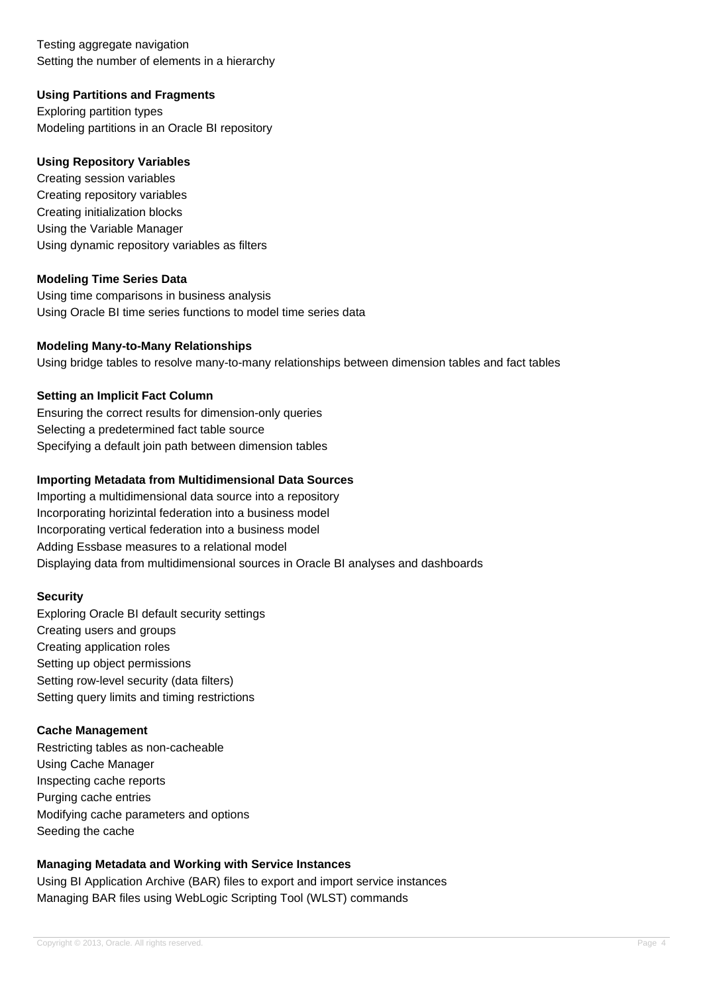Testing aggregate navigation Setting the number of elements in a hierarchy

## **Using Partitions and Fragments**

Exploring partition types Modeling partitions in an Oracle BI repository

### **Using Repository Variables**

Creating session variables Creating repository variables Creating initialization blocks Using the Variable Manager Using dynamic repository variables as filters

## **Modeling Time Series Data**

Using time comparisons in business analysis Using Oracle BI time series functions to model time series data

## **Modeling Many-to-Many Relationships**

Using bridge tables to resolve many-to-many relationships between dimension tables and fact tables

## **Setting an Implicit Fact Column**

Ensuring the correct results for dimension-only queries Selecting a predetermined fact table source Specifying a default join path between dimension tables

## **Importing Metadata from Multidimensional Data Sources**

Importing a multidimensional data source into a repository Incorporating horizintal federation into a business model Incorporating vertical federation into a business model Adding Essbase measures to a relational model Displaying data from multidimensional sources in Oracle BI analyses and dashboards

### **Security**

Exploring Oracle BI default security settings Creating users and groups Creating application roles Setting up object permissions Setting row-level security (data filters) Setting query limits and timing restrictions

### **Cache Management**

Restricting tables as non-cacheable Using Cache Manager Inspecting cache reports Purging cache entries Modifying cache parameters and options Seeding the cache

## **Managing Metadata and Working with Service Instances**

Using BI Application Archive (BAR) files to export and import service instances Managing BAR files using WebLogic Scripting Tool (WLST) commands